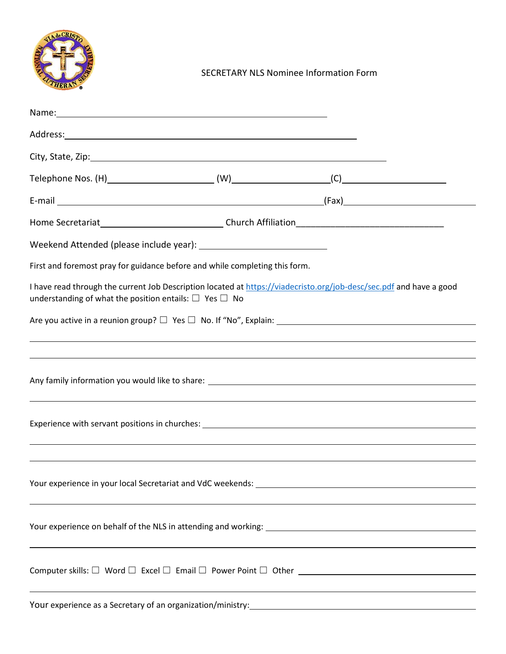

SECRETARY NLS Nominee Information Form

| Name: Name: Name: Name: Name: Name: Name: Name: Name: Name: Name: Name: Name: Name: Name: Name: Name: Name: Name: Name: Name: Name: Name: Name: Name: Name: Name: Name: Name: Name: Name: Name: Name: Name: Name: Name: Name: |                                                                                                                                                                                                                                                      |
|-------------------------------------------------------------------------------------------------------------------------------------------------------------------------------------------------------------------------------|------------------------------------------------------------------------------------------------------------------------------------------------------------------------------------------------------------------------------------------------------|
|                                                                                                                                                                                                                               |                                                                                                                                                                                                                                                      |
|                                                                                                                                                                                                                               |                                                                                                                                                                                                                                                      |
|                                                                                                                                                                                                                               | Telephone Nos. (H) $(W)$ (W) $(C)$ (C) $(C)$ and $(C)$ and $(C)$ and $(C)$ and $(C)$ and $(C)$ and $(C)$ and $(C)$ and $(C)$ and $(C)$ and $(C)$ and $(C)$ and $(C)$ and $(C)$ and $(C)$ and $(C)$ and $(C)$ and $(C)$ and $(C)$ and $(C)$ and $(C)$ |
|                                                                                                                                                                                                                               |                                                                                                                                                                                                                                                      |
|                                                                                                                                                                                                                               | Home Secretariat <b>Manual Contract Contract Contract Contract Contract Contract Contract Contract Contract Contract Contract Contract Contract Contract Contract Contract Contract Contract Contract Contract Contract Contract</b>                 |
|                                                                                                                                                                                                                               |                                                                                                                                                                                                                                                      |
| First and foremost pray for guidance before and while completing this form.                                                                                                                                                   |                                                                                                                                                                                                                                                      |
| understanding of what the position entails: $\square$ Yes $\square$ No                                                                                                                                                        | I have read through the current Job Description located at https://viadecristo.org/job-desc/sec.pdf and have a good                                                                                                                                  |
|                                                                                                                                                                                                                               |                                                                                                                                                                                                                                                      |
|                                                                                                                                                                                                                               |                                                                                                                                                                                                                                                      |
|                                                                                                                                                                                                                               |                                                                                                                                                                                                                                                      |
|                                                                                                                                                                                                                               |                                                                                                                                                                                                                                                      |
|                                                                                                                                                                                                                               |                                                                                                                                                                                                                                                      |
|                                                                                                                                                                                                                               |                                                                                                                                                                                                                                                      |
| <u> 1989 - Johann Stoff, deutscher Stoff, der Stoff, der Stoff, der Stoff, der Stoff, der Stoff, der Stoff, der S</u>                                                                                                         |                                                                                                                                                                                                                                                      |
|                                                                                                                                                                                                                               |                                                                                                                                                                                                                                                      |
|                                                                                                                                                                                                                               |                                                                                                                                                                                                                                                      |
|                                                                                                                                                                                                                               |                                                                                                                                                                                                                                                      |
|                                                                                                                                                                                                                               |                                                                                                                                                                                                                                                      |
|                                                                                                                                                                                                                               |                                                                                                                                                                                                                                                      |